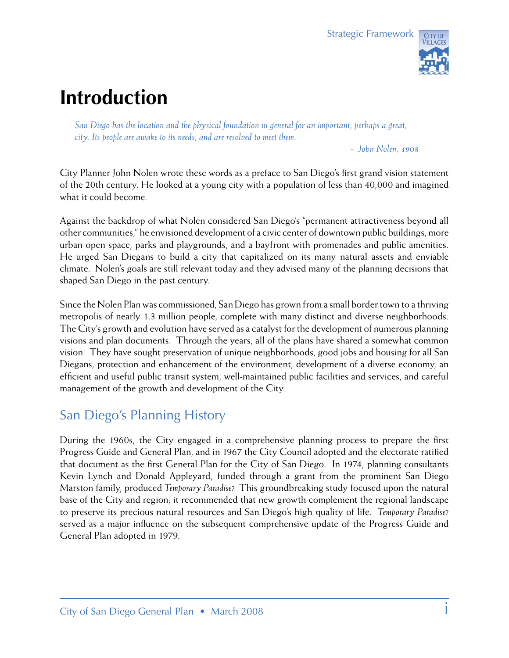## **Introduction**

*San Diego has the location and the physical foundation in general for an important, perhaps a great, city. Its people are awake to its needs, and are resolved to meet them.*

*~ John Nolen, 1908*

City Planner John Nolen wrote these words as a preface to San Diego's first grand vision statement of the 20th century. He looked at a young city with a population of less than 40,000 and imagined what it could become.

Against the backdrop of what Nolen considered San Diego's "permanent attractiveness beyond all other communities," he envisioned development of a civic center of downtown public buildings, more urban open space, parks and playgrounds, and a bayfront with promenades and public amenities. He urged San Diegans to build a city that capitalized on its many natural assets and enviable climate. Nolen's goals are still relevant today and they advised many of the planning decisions that shaped San Diego in the past century.

Since the Nolen Plan was commissioned, San Diego has grown from a small border town to a thriving metropolis of nearly 1.3 million people, complete with many distinct and diverse neighborhoods. The City's growth and evolution have served as a catalyst for the development of numerous planning visions and plan documents. Through the years, all of the plans have shared a somewhat common vision. They have sought preservation of unique neighborhoods, good jobs and housing for all San Diegans, protection and enhancement of the environment, development of a diverse economy, an efficient and useful public transit system, well-maintained public facilities and services, and careful management of the growth and development of the City.

### San Diego's Planning History

During the 1960s, the City engaged in a comprehensive planning process to prepare the first Progress Guide and General Plan, and in 1967 the City Council adopted and the electorate ratified that document as the first General Plan for the City of San Diego. In 1974, planning consultants Kevin Lynch and Donald Appleyard, funded through a grant from the prominent San Diego Marston family, produced *Temporary Paradise?* This groundbreaking study focused upon the natural base of the City and region; it recommended that new growth complement the regional landscape to preserve its precious natural resources and San Diego's high quality of life. *Temporary Paradise?*  served as a major influence on the subsequent comprehensive update of the Progress Guide and General Plan adopted in 1979.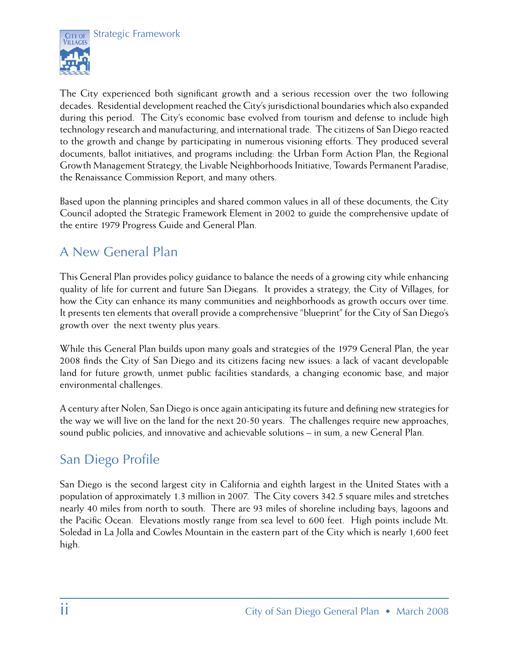



The City experienced both significant growth and a serious recession over the two following decades. Residential development reached the City's jurisdictional boundaries which also expanded during this period. The City's economic base evolved from tourism and defense to include high technology research and manufacturing, and international trade. The citizens of San Diego reacted to the growth and change by participating in numerous visioning efforts. They produced several documents, ballot initiatives, and programs including: the Urban Form Action Plan, the Regional Growth Management Strategy, the Livable Neighborhoods Initiative, Towards Permanent Paradise, the Renaissance Commission Report, and many others.

Based upon the planning principles and shared common values in all of these documents, the City Council adopted the Strategic Framework Element in 2002 to guide the comprehensive update of the entire 1979 Progress Guide and General Plan.

## A New General Plan

This General Plan provides policy guidance to balance the needs of a growing city while enhancing quality of life for current and future San Diegans. It provides a strategy, the City of Villages, for how the City can enhance its many communities and neighborhoods as growth occurs over time. It presents ten elements that overall provide a comprehensive "blueprint" for the City of San Diego's growth over the next twenty plus years.

While this General Plan builds upon many goals and strategies of the 1979 General Plan, the year 2008 finds the City of San Diego and its citizens facing new issues: a lack of vacant developable land for future growth, unmet public facilities standards, a changing economic base, and major environmental challenges.

A century after Nolen, San Diego is once again anticipating its future and defining new strategies for the way we will live on the land for the next 20-50 years. The challenges require new approaches, sound public policies, and innovative and achievable solutions – in sum, a new General Plan.

### San Diego Profile

San Diego is the second largest city in California and eighth largest in the United States with a population of approximately 1.3 million in 2007. The City covers 342.5 square miles and stretches nearly 40 miles from north to south. There are 93 miles of shoreline including bays, lagoons and the Pacific Ocean. Elevations mostly range from sea level to 600 feet. High points include Mt. Soledad in La Jolla and Cowles Mountain in the eastern part of the City which is nearly 1,600 feet high.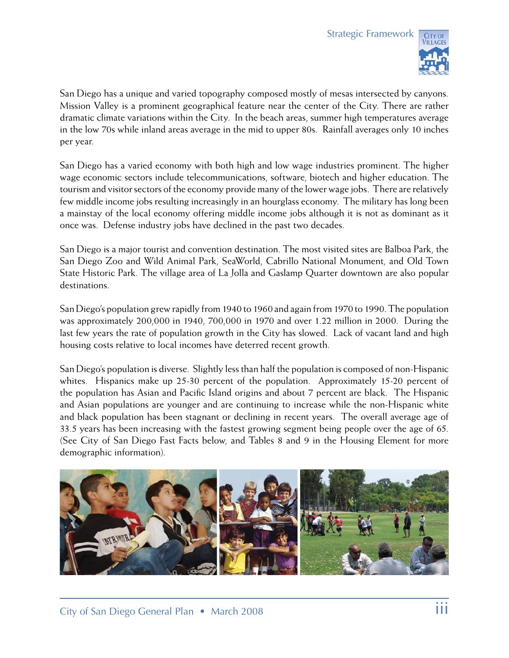

San Diego has a unique and varied topography composed mostly of mesas intersected by canyons. Mission Valley is a prominent geographical feature near the center of the City. There are rather dramatic climate variations within the City. In the beach areas, summer high temperatures average in the low 70s while inland areas average in the mid to upper 80s. Rainfall averages only 10 inches per year.

San Diego has a varied economy with both high and low wage industries prominent. The higher wage economic sectors include telecommunications, software, biotech and higher education. The tourism and visitor sectors of the economy provide many of the lower wage jobs. There are relatively few middle income jobs resulting increasingly in an hourglass economy. The military has long been a mainstay of the local economy offering middle income jobs although it is not as dominant as it once was. Defense industry jobs have declined in the past two decades.

San Diego is a major tourist and convention destination. The most visited sites are Balboa Park, the San Diego Zoo and Wild Animal Park, SeaWorld, Cabrillo National Monument, and Old Town State Historic Park. The village area of La Jolla and Gaslamp Quarter downtown are also popular destinations.

San Diego's population grew rapidly from 1940 to 1960 and again from 1970 to 1990. The population was approximately 200,000 in 1940, 700,000 in 1970 and over 1.22 million in 2000. During the last few years the rate of population growth in the City has slowed. Lack of vacant land and high housing costs relative to local incomes have deterred recent growth.

San Diego's population is diverse. Slightly less than half the population is composed of non-Hispanic whites. Hispanics make up 25-30 percent of the population. Approximately 15-20 percent of the population has Asian and Pacific Island origins and about 7 percent are black. The Hispanic and Asian populations are younger and are continuing to increase while the non-Hispanic white and black population has been stagnant or declining in recent years. The overall average age of 33.5 years has been increasing with the fastest growing segment being people over the age of 65. (See City of San Diego Fast Facts below, and Tables 8 and 9 in the Housing Element for more demographic information).